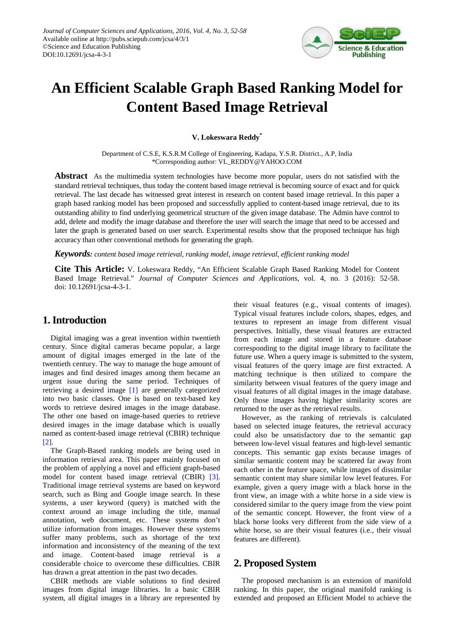

# **An Efficient Scalable Graph Based Ranking Model for Content Based Image Retrieval**

**V. Lokeswara Reddy\***

Department of C.S.E, K.S.R.M College of Engineering, Kadapa, Y.S.R. District., A.P, India \*Corresponding author: VL\_REDDY@YAHOO.COM

**Abstract** As the multimedia system technologies have become more popular, users do not satisfied with the standard retrieval techniques, thus today the content based image retrieval is becoming source of exact and for quick retrieval. The last decade has witnessed great interest in research on content based image retrieval. In this paper a graph based ranking model has been proposed and successfully applied to content-based image retrieval, due to its outstanding ability to find underlying geometrical structure of the given image database. The Admin have control to add, delete and modify the image database and therefore the user will search the image that need to be accessed and later the graph is generated based on user search. Experimental results show that the proposed technique has high accuracy than other conventional methods for generating the graph.

*Keywords: content based image retrieval, ranking model, image retrieval, efficient ranking model*

**Cite This Article:** V. Lokeswara Reddy, "An Efficient Scalable Graph Based Ranking Model for Content Based Image Retrieval." *Journal of Computer Sciences and Applications*, vol. 4, no. 3 (2016): 52-58. doi: 10.12691/jcsa-4-3-1.

# **1. Introduction**

Digital imaging was a great invention within twentieth century. Since digital cameras became popular, a large amount of digital images emerged in the late of the twentieth century. The way to manage the huge amount of images and find desired images among them became an urgent issue during the same period. Techniques of retrieving a desired image [\[1\]](#page-6-0) are generally categorized into two basic classes. One is based on text-based key words to retrieve desired images in the image database. The other one based on image-based queries to retrieve desired images in the image database which is usually named as content-based image retrieval (CBIR) technique [\[2\].](#page-6-1)

The Graph-Based ranking models are being used in information retrieval area. This paper mainly focused on the problem of applying a novel and efficient graph-based model for content based image retrieval (CBIR) [\[3\].](#page-6-2) Traditional image retrieval systems are based on keyword search, such as Bing and Google image search. In these systems, a user keyword (query) is matched with the context around an image including the title, manual annotation, web document, etc. These systems don't utilize information from images. However these systems suffer many problems, such as shortage of the text information and inconsistency of the meaning of the text and image. Content-based image retrieval is a considerable choice to overcome these difficulties. CBIR has drawn a great attention in the past two decades.

CBIR methods are viable solutions to find desired images from digital image libraries. In a basic CBIR system, all digital images in a library are represented by their visual features (e.g., visual contents of images). Typical visual features include colors, shapes, edges, and textures to represent an image from different visual perspectives. Initially, these visual features are extracted from each image and stored in a feature database corresponding to the digital image library to facilitate the future use. When a query image is submitted to the system, visual features of the query image are first extracted. A matching technique is then utilized to compare the similarity between visual features of the query image and visual features of all digital images in the image database. Only those images having higher similarity scores are returned to the user as the retrieval results.

However, as the ranking of retrievals is calculated based on selected image features, the retrieval accuracy could also be unsatisfactory due to the semantic gap between low-level visual features and high-level semantic concepts. This semantic gap exists because images of similar semantic content may be scattered far away from each other in the feature space, while images of dissimilar semantic content may share similar low level features. For example, given a query image with a black horse in the front view, an image with a white horse in a side view is considered similar to the query image from the view point of the semantic concept. However, the front view of a black horse looks very different from the side view of a white horse, so are their visual features (i.e., their visual features are different).

# **2. Proposed System**

The proposed mechanism is an extension of manifold ranking. In this paper, the original manifold ranking is extended and proposed an Efficient Model to achieve the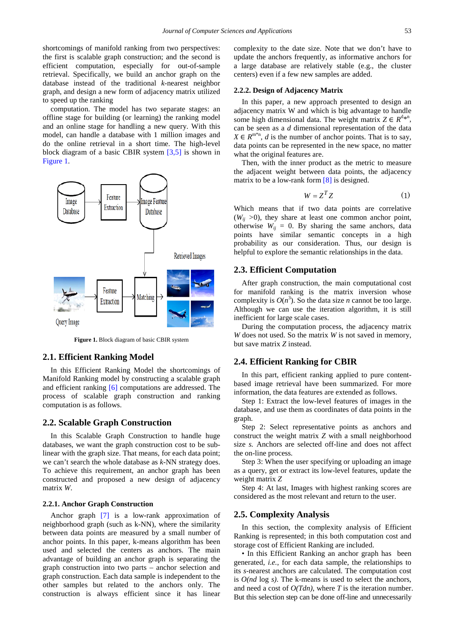shortcomings of manifold ranking from two perspectives: the first is scalable graph construction; and the second is efficient computation, especially for out-of-sample retrieval. Specifically, we build an anchor graph on the database instead of the traditional *k*-nearest neighbor graph, and design a new form of adjacency matrix utilized to speed up the ranking

computation. The model has two separate stages: an offline stage for building (or learning) the ranking model and an online stage for handling a new query. With this model, can handle a database with 1 million images and do the online retrieval in a short time. The high-level block diagram of a basic CBIR system [\[3,5\]](#page-6-2) is shown in [Figure 1.](#page-1-0)

<span id="page-1-0"></span>

**Figure 1.** Block diagram of basic CBIR system

## **2.1. Efficient Ranking Model**

In this Efficient Ranking Model the shortcomings of Manifold Ranking model by constructing a scalable graph and efficient ranking [\[6\]](#page-6-3) computations are addressed. The process of scalable graph construction and ranking computation is as follows.

#### **2.2. Scalable Graph Construction**

In this Scalable Graph Construction to handle huge databases, we want the graph construction cost to be sublinear with the graph size. That means, for each data point; we can't search the whole database as *k-*NN strategy does. To achieve this requirement, an anchor graph has been constructed and proposed a new design of adjacency matrix *W*.

#### **2.2.1. Anchor Graph Construction**

Anchor graph [\[7\]](#page-6-4) is a low-rank approximation of neighborhood graph (such as k-NN), where the similarity between data points are measured by a small number of anchor points. In this paper, k-means algorithm has been used and selected the centers as anchors. The main advantage of building an anchor graph is separating the graph construction into two parts – anchor selection and graph construction. Each data sample is independent to the other samples but related to the anchors only. The construction is always efficient since it has linear

#### **2.2.2. Design of Adjacency Matrix**

In this paper, a new approach presented to design an adjacency matrix W and which is big advantage to handle some high dimensional data. The weight matrix  $Z \in R^{d_{\mathcal{R}^n}}$ , can be seen as a *d* dimensional representation of the data  $X \in R^{m*n}$ , *d* is the number of anchor points. That is to say, data points can be represented in the new space, no matter what the original features are.

Then, with the inner product as the metric to measure the adjacent weight between data points, the adjacency matrix to be a low-rank for[m \[8\]](#page-6-5) is designed.

$$
W = Z^T Z \tag{1}
$$

Which means that if two data points are correlative  $(W_{ii} > 0)$ , they share at least one common anchor point, otherwise  $W_{ij} = 0$ . By sharing the same anchors, data points have similar semantic concepts in a high probability as our consideration. Thus, our design is helpful to explore the semantic relationships in the data.

## **2.3. Efficient Computation**

After graph construction, the main computational cost for manifold ranking is the matrix inversion whose complexity is  $O(n^3)$ . So the data size *n* cannot be too large. Although we can use the iteration algorithm, it is still inefficient for large scale cases.

During the computation process, the adjacency matrix *W* does not used. So the matrix *W* is not saved in memory, but save matrix *Z* instead.

## **2.4. Efficient Ranking for CBIR**

In this part, efficient ranking applied to pure contentbased image retrieval have been summarized. For more information, the data features are extended as follows.

Step 1: Extract the low-level features of images in the database, and use them as coordinates of data points in the graph.

Step 2: Select representative points as anchors and construct the weight matrix *Z* with a small neighborhood size *s.* Anchors are selected off-line and does not affect the on-line process.

Step 3: When the user specifying or uploading an image as a query, get or extract its low-level features, update the weight matrix *Z*

Step 4: At last, Images with highest ranking scores are considered as the most relevant and return to the user.

### **2.5. Complexity Analysis**

In this section, the complexity analysis of Efficient Ranking is represented; in this both computation cost and storage cost of Efficient Ranking are included.

• In this Efficient Ranking an anchor graph has been generated, *i.e.*, for each data sample, the relationships to its *s*-nearest anchors are calculated. The computation cost is *O(nd* log *s)*. The k-means is used to select the anchors, and need a cost of *O(Tdn)*, where *T* is the iteration number. But this selection step can be done off-line and unnecessarily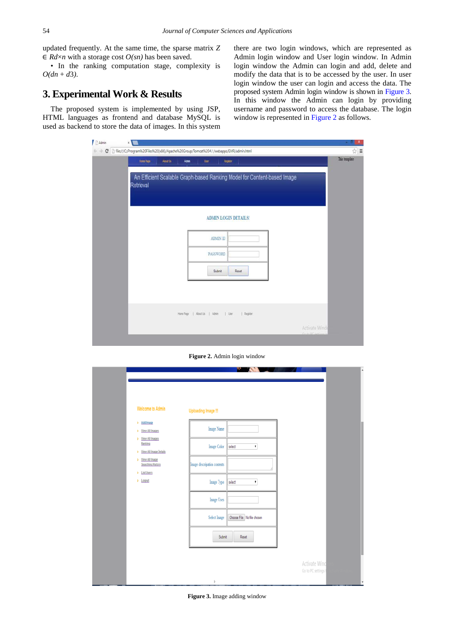updated frequently. At the same time, the sparse matrix *Z*   $\in Rd \times n$  with a storage cost  $O(sn)$  has been saved.

• In the ranking computation stage, complexity is  $O(dn + d3)$ .

# **3. Experimental Work & Results**

<span id="page-2-1"></span>The proposed system is implemented by using JSP, HTML languages as frontend and database MySQL is used as backend to store the data of images. In this system there are two login windows, which are represented as Admin login window and User login window. In Admin login window the Admin can login and add, delete and modify the data that is to be accessed by the user. In user login window the user can login and access the data. The proposed system Admin login window is shown in [Figure 3.](#page-2-0)  In this window the Admin can login by providing username and password to access the database. The login window is represented in [Figure 2](#page-2-1) as follows.

| Home Page<br>About Us.<br>Register<br>Atnis<br>User                                  | This template |
|--------------------------------------------------------------------------------------|---------------|
|                                                                                      |               |
| An Efficient Scalable Graph-based Ranking Model for Content-based Image<br>Retrieval |               |
| <b>ADMIN LOGIN DETAILS!</b>                                                          |               |
|                                                                                      |               |
| ADMIN ID                                                                             |               |
| PASSWORD                                                                             |               |
| Submit<br>Reset                                                                      |               |
|                                                                                      |               |
|                                                                                      |               |
| Hone Page   About Us   Admin   User   Register                                       |               |
|                                                                                      | Activate Wind |

**Figure 2.** Admin login window

<span id="page-2-0"></span>

| Welcome to Admin                                         | Uploading Image !!!         |                              |               |  |
|----------------------------------------------------------|-----------------------------|------------------------------|---------------|--|
| > Add Image<br>> View All Images                         | Image Name                  |                              |               |  |
| > View All Images<br>Ranking<br>> View All Image Details | Image Color                 | select<br>۰                  |               |  |
| > View All Image<br>Searching History<br>> List Users    | Image descripation contents |                              |               |  |
| > Logout                                                 | Image Type                  | select<br>$\pmb{\mathrm{v}}$ |               |  |
|                                                          | Image Uses                  |                              |               |  |
|                                                          | Select Image                | Choose File No file chosen   |               |  |
|                                                          | <b>Submit</b>               | Reset                        |               |  |
|                                                          |                             |                              | Activate Wind |  |

**Figure 3.** Image adding window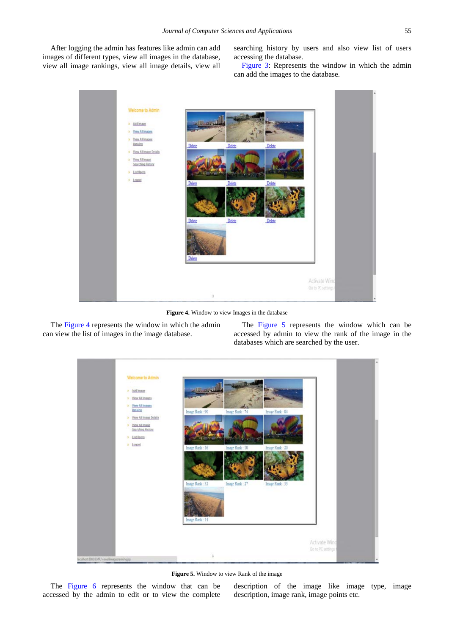<span id="page-3-0"></span>After logging the admin has features like admin can add images of different types, view all images in the database, view all image rankings, view all image details, view all

searching history by users and also view list of users accessing the database.

[Figure 3:](#page-2-0) Represents the window in which the admin can add the images to the database.



**Figure 4.** Window to view Images in the database

<span id="page-3-1"></span>The [Figure 4](#page-3-0) represents the window in which the admin can view the list of images in the image database.

The [Figure 5](#page-3-1) represents the window which can be accessed by admin to view the rank of the image in the databases which are searched by the user.



**Figure 5.** Window to view Rank of the image

The [Figure 6](#page-4-0) represents the window that can be accessed by the admin to edit or to view the complete description of the image like image type, image description, image rank, image points etc.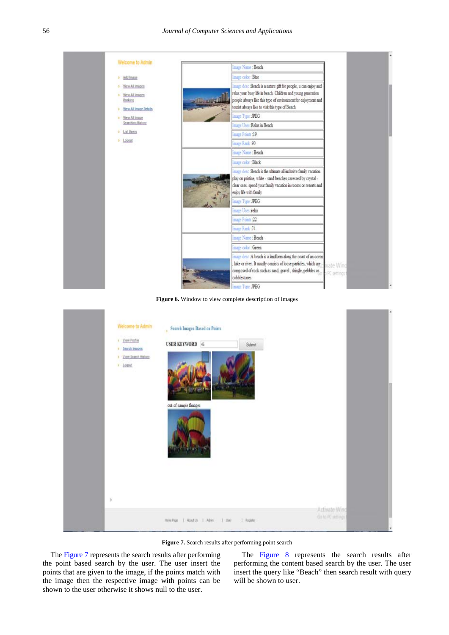<span id="page-4-0"></span>

| Welcome to Admin                                                                | Image Name: Beach                                                                                                                                                                                                                                                     |                          |
|---------------------------------------------------------------------------------|-----------------------------------------------------------------------------------------------------------------------------------------------------------------------------------------------------------------------------------------------------------------------|--------------------------|
| > Add Image                                                                     | Image color: Blue                                                                                                                                                                                                                                                     |                          |
| > View All Images<br>View All Inages<br>¥.<br>Ranking<br>View All Image Details | Image desc Beach is a nature gift for people, u can enjoy and<br>relax your busy life in beach. Children and young generation<br>people always like this type of environment for enjoyment and<br><b>Lisanger</b><br>tourist always like to visit this type of Beach. |                          |
| > View All Image                                                                | Image Type : JPEG                                                                                                                                                                                                                                                     |                          |
| Searching History                                                               | Image Uses Relax in Beach                                                                                                                                                                                                                                             |                          |
| > List Users                                                                    | Image Points :19                                                                                                                                                                                                                                                      |                          |
| > Logout                                                                        | Image Rank 90                                                                                                                                                                                                                                                         |                          |
|                                                                                 | Image Name : Beach                                                                                                                                                                                                                                                    |                          |
|                                                                                 | Image color : Black                                                                                                                                                                                                                                                   |                          |
|                                                                                 | Image desc Beach is the ultimate all inclusive family vacation.<br>play on pristine, white - sand beaches caressed by crystal -<br>clear seas. spend your family vacation in rooms or resorts and<br>enjoy life with family                                           |                          |
|                                                                                 | Image Type : JPEG                                                                                                                                                                                                                                                     |                          |
|                                                                                 | Image Uses relax                                                                                                                                                                                                                                                      |                          |
|                                                                                 | Image Points 22                                                                                                                                                                                                                                                       |                          |
|                                                                                 | Image Rank: 74                                                                                                                                                                                                                                                        |                          |
|                                                                                 | Image Name: Beach                                                                                                                                                                                                                                                     |                          |
|                                                                                 | Image color : Green                                                                                                                                                                                                                                                   |                          |
|                                                                                 | Image desc :A beach is a landform along the coast of an ocean<br>lake or river. It usually consists of loose particles, which are<br>composed of rock such as sand, gravel, shingle, pebbles or<br>cobblestones.                                                      | ivate Wind<br>X settings |

Figure 6. Window to view complete description of images

<span id="page-4-1"></span>

Figure 7. Search results after performing point search

The [Figure 7](#page-4-1) represents the search results after performing the point based search by the user. The user insert the points that are given to the image, if the points match with the image then the respective image with points can be shown to the user otherwise it shows null to the user.

The [Figure 8](#page-5-0) represents the search results after performing the content based search by the user. The user insert the query like "Beach" then search result with query will be shown to user.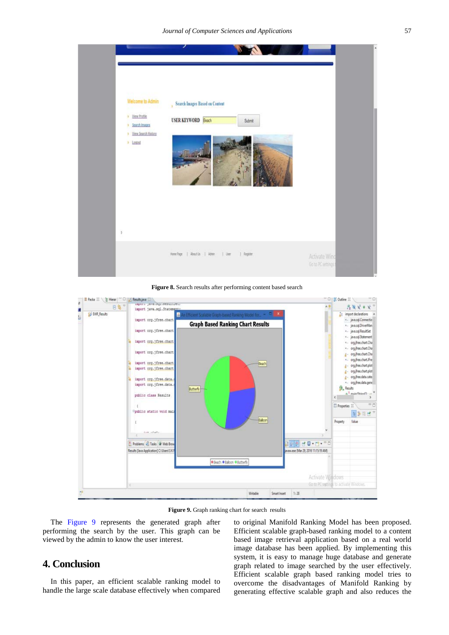<span id="page-5-0"></span>

**Figure 8.** Search results after performing content based search

<span id="page-5-1"></span>

Figure 9. Graph ranking chart for search results

The [Figure 9](#page-5-1) represents the generated graph after performing the search by the user. This graph can be viewed by the admin to know the user interest.

## **4. Conclusion**

In this paper, an efficient scalable ranking model to handle the large scale database effectively when compared to original Manifold Ranking Model has been proposed. Efficient scalable graph-based ranking model to a content based image retrieval application based on a real world image database has been applied. By implementing this system, it is easy to manage huge database and generate graph related to image searched by the user effectively. Efficient scalable graph based ranking model tries to overcome the disadvantages of Manifold Ranking by generating effective scalable graph and also reduces the